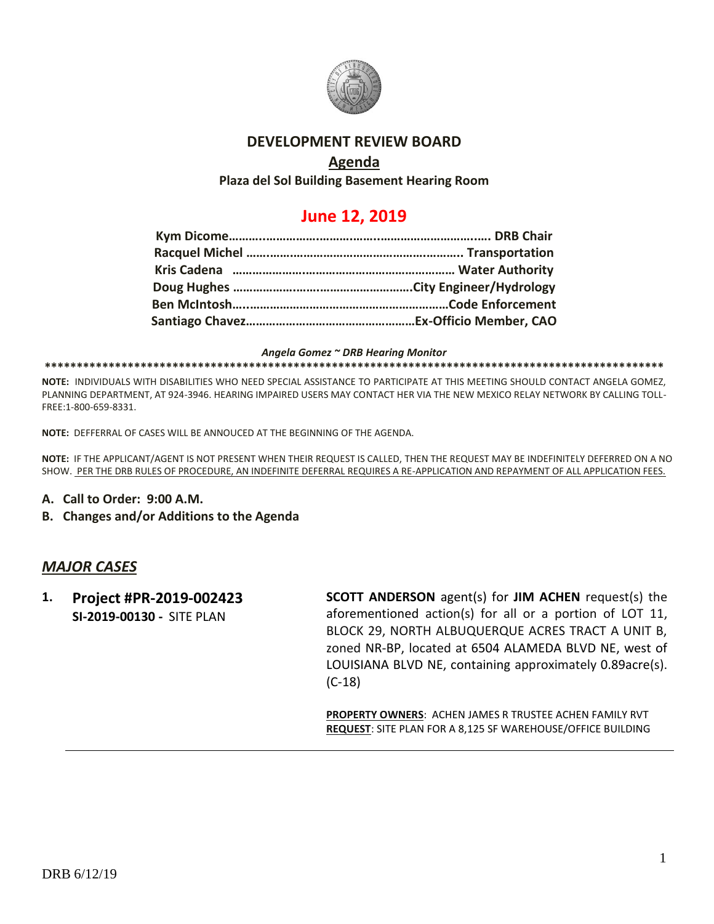

### **DEVELOPMENT REVIEW BOARD**

### **Agenda**

**Plaza del Sol Building Basement Hearing Room**

## **June 12, 2019**

#### *Angela Gomez ~ DRB Hearing Monitor*

**\*\*\*\*\*\*\*\*\*\*\*\*\*\*\*\*\*\*\*\*\*\*\*\*\*\*\*\*\*\*\*\*\*\*\*\*\*\*\*\*\*\*\*\*\*\*\*\*\*\*\*\*\*\*\*\*\*\*\*\*\*\*\*\*\*\*\*\*\*\*\*\*\*\*\*\*\*\*\*\*\*\*\*\*\*\*\*\*\*\*\*\*\*\*\*\*\***

**NOTE:** INDIVIDUALS WITH DISABILITIES WHO NEED SPECIAL ASSISTANCE TO PARTICIPATE AT THIS MEETING SHOULD CONTACT ANGELA GOMEZ, PLANNING DEPARTMENT, AT 924-3946. HEARING IMPAIRED USERS MAY CONTACT HER VIA THE NEW MEXICO RELAY NETWORK BY CALLING TOLL-FREE:1-800-659-8331.

**NOTE:** DEFFERRAL OF CASES WILL BE ANNOUCED AT THE BEGINNING OF THE AGENDA.

**NOTE:** IF THE APPLICANT/AGENT IS NOT PRESENT WHEN THEIR REQUEST IS CALLED, THEN THE REQUEST MAY BE INDEFINITELY DEFERRED ON A NO SHOW. PER THE DRB RULES OF PROCEDURE, AN INDEFINITE DEFERRAL REQUIRES A RE-APPLICATION AND REPAYMENT OF ALL APPLICATION FEES.

- **A. Call to Order: 9:00 A.M.**
- **B. Changes and/or Additions to the Agenda**

#### *MAJOR CASES*

**1. Project #PR-2019-002423 SI-2019-00130 -** SITE PLAN

**SCOTT ANDERSON** agent(s) for **JIM ACHEN** request(s) the aforementioned action(s) for all or a portion of LOT 11, BLOCK 29, NORTH ALBUQUERQUE ACRES TRACT A UNIT B, zoned NR-BP, located at 6504 ALAMEDA BLVD NE, west of LOUISIANA BLVD NE, containing approximately 0.89acre(s). (C-18)

**PROPERTY OWNERS**: ACHEN JAMES R TRUSTEE ACHEN FAMILY RVT **REQUEST**: SITE PLAN FOR A 8,125 SF WAREHOUSE/OFFICE BUILDING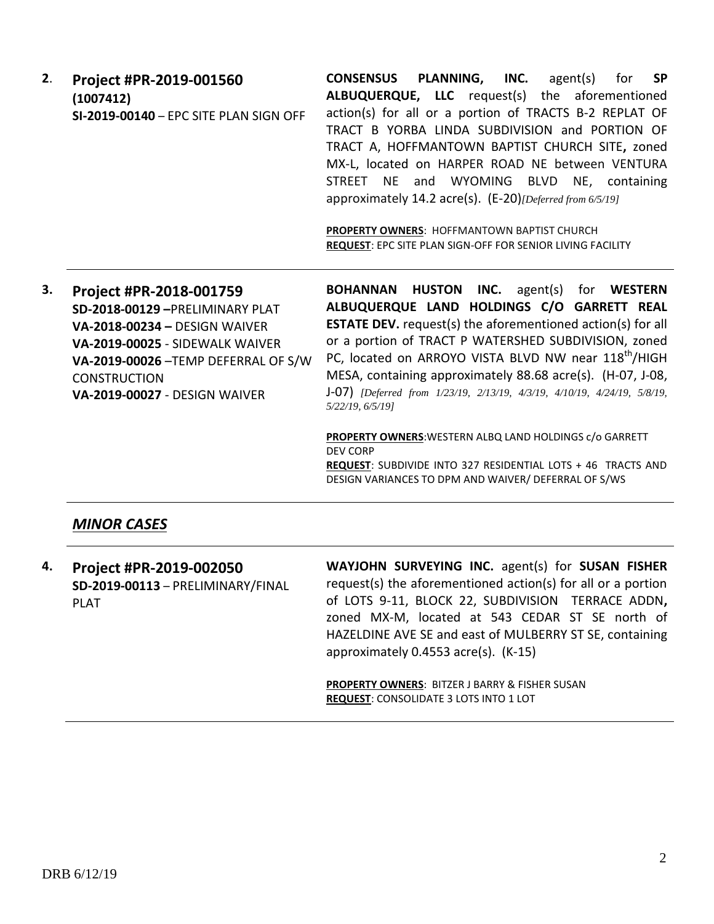| 2. | Project #PR-2019-001560                | PLANNING,<br><b>SP</b><br>INC.<br><b>CONSENSUS</b><br>agent(s)<br>for |
|----|----------------------------------------|-----------------------------------------------------------------------|
|    | (1007412)                              | ALBUQUERQUE, LLC request(s) the aforementioned                        |
|    | SI-2019-00140 - EPC SITE PLAN SIGN OFF | action(s) for all or a portion of TRACTS B-2 REPLAT OF                |
|    |                                        | TRACT B YORBA LINDA SUBDIVISION and PORTION OF                        |
|    |                                        | TRACT A, HOFFMANTOWN BAPTIST CHURCH SITE, zoned                       |
|    |                                        | MX-L, located on HARPER ROAD NE between VENTURA                       |
|    |                                        | NE and WYOMING BLVD NE, containing<br>STREET                          |
|    |                                        | approximately 14.2 acre(s). $(E-20)$ [Deferred from 6/5/19]           |
|    |                                        |                                                                       |
|    |                                        | <b>PROPERTY OWNERS: HOFFMANTOWN BAPTIST CHURCH</b>                    |
|    |                                        | <b>REQUEST: EPC SITE PLAN SIGN-OFF FOR SENIOR LIVING FACILITY</b>     |
|    |                                        |                                                                       |
| 3. | Project #PR-2018-001759                | <b>BOHANNAN HUSTON INC.</b> agent(s) for WESTERN                      |
|    | SD-2018-00129-PRELIMINARY PLAT         | ALBUQUERQUE LAND HOLDINGS C/O GARRETT REAL                            |
|    | <b>VA-2018-00234 - DESIGN WAIVER</b>   | <b>ESTATE DEV.</b> request(s) the aforementioned action(s) for all    |
|    | VA-2019-00025 - SIDEWALK WAIVER        | or a portion of TRACT P WATERSHED SUBDIVISION, zoned                  |
|    | VA-2019-00026-TEMP DEFERRAL OF S/W     | PC, located on ARROYO VISTA BLVD NW near 118 <sup>th</sup> /HIGH      |

MESA, containing approximately 88.68 acre(s). (H-07, J-08, J-07) *[Deferred from 1/23/19, 2/13/19, 4/3/19, 4/10/19, 4/24/19, 5/8/19, 5/22/19, 6/5/19]*

**PROPERTY OWNERS**:WESTERN ALBQ LAND HOLDINGS c/o GARRETT DEV CORP **REQUEST**: SUBDIVIDE INTO 327 RESIDENTIAL LOTS + 46 TRACTS AND DESIGN VARIANCES TO DPM AND WAIVER/ DEFERRAL OF S/WS

#### *MINOR CASES*

**CONSTRUCTION** 

**VA-2019-00027** - DESIGN WAIVER

**4. Project #PR-2019-002050 SD-2019-00113** – PRELIMINARY/FINAL PLAT **WAYJOHN SURVEYING INC.** agent(s) for **SUSAN FISHER** request(s) the aforementioned action(s) for all or a portion of LOTS 9-11, BLOCK 22, SUBDIVISION TERRACE ADDN**,**  zoned MX-M, located at 543 CEDAR ST SE north of HAZELDINE AVE SE and east of MULBERRY ST SE, containing approximately 0.4553 acre(s). (K-15)

> **PROPERTY OWNERS**: BITZER J BARRY & FISHER SUSAN **REQUEST**: CONSOLIDATE 3 LOTS INTO 1 LOT